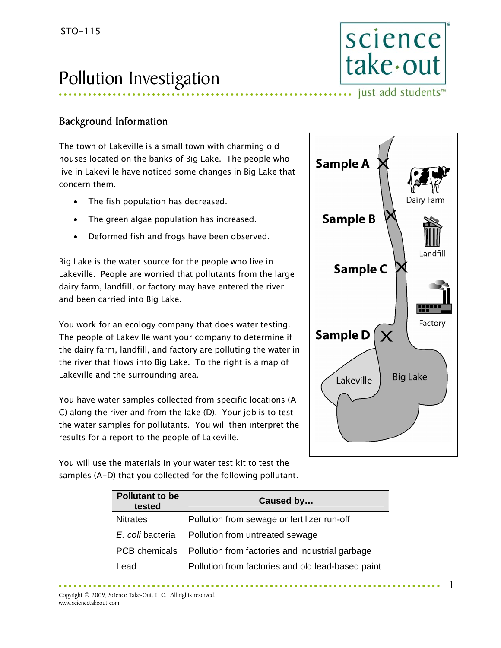## Pollution Investigation

#### Background Information

The town of Lakeville is a small town with charming old houses located on the banks of Big Lake. The people who live in Lakeville have noticed some changes in Big Lake that concern them.

- The fish population has decreased.
- The green algae population has increased.
- Deformed fish and frogs have been observed.

Big Lake is the water source for the people who live in Lakeville. People are worried that pollutants from the large dairy farm, landfill, or factory may have entered the river and been carried into Big Lake.

You work for an ecology company that does water testing. The people of Lakeville want your company to determine if the dairy farm, landfill, and factory are polluting the water in the river that flows into Big Lake. To the right is a map of Lakeville and the surrounding area.

You have water samples collected from specific locations (A-C) along the river and from the lake (D). Your job is to test the water samples for pollutants. You will then interpret the results for a report to the people of Lakeville.

You will use the materials in your water test kit to test the samples (A-D) that you collected for the following pollutant.



science

take-out

..... just add students<sup>™</sup>

| <b>Pollutant to be</b><br>tested | Caused by                                         |  |  |
|----------------------------------|---------------------------------------------------|--|--|
| <b>Nitrates</b>                  | Pollution from sewage or fertilizer run-off       |  |  |
| E. coli bacteria                 | Pollution from untreated sewage                   |  |  |
| PCB chemicals                    | Pollution from factories and industrial garbage   |  |  |
| Lead                             | Pollution from factories and old lead-based paint |  |  |

Copyright © 2009, Science Take-Out, LLC. All rights reserved. www.sciencetakeout.com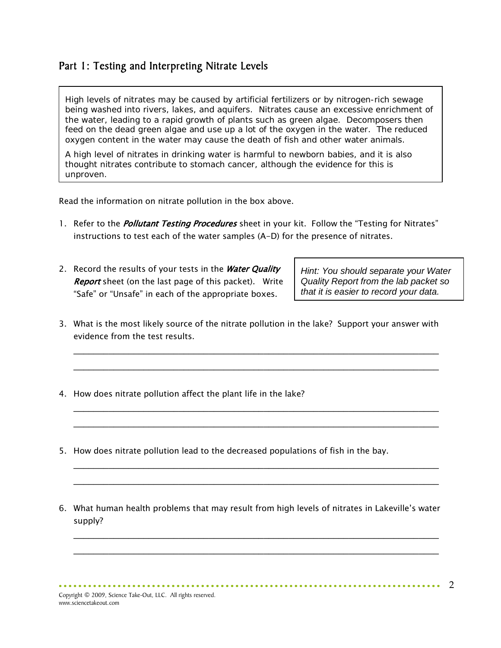#### Part 1: Testing and Interpreting Nitrate Levels

High levels of nitrates may be caused by artificial fertilizers or by nitrogen-rich sewage being washed into rivers, lakes, and aquifers. Nitrates cause an excessive enrichment of the water, leading to a rapid growth of plants such as green algae. Decomposers then feed on the dead green algae and use up a lot of the oxygen in the water. The reduced oxygen content in the water may cause the death of fish and other water animals.

A high level of nitrates in drinking water is harmful to newborn babies, and it is also thought nitrates contribute to stomach cancer, although the evidence for this is unproven.

Read the information on nitrate pollution in the box above.

- 1. Refer to the *Pollutant Testing Procedures* sheet in your kit. Follow the "Testing for Nitrates" instructions to test each of the water samples (A-D) for the presence of nitrates.
- 2. Record the results of your tests in the Water Quality **Report** sheet (on the last page of this packet). Write "Safe" or "Unsafe" in each of the appropriate boxes.

*Hint: You should separate your Water Quality Report from the lab packet so that it is easier to record your data.* 

3. What is the most likely source of the nitrate pollution in the lake? Support your answer with evidence from the test results.

\_\_\_\_\_\_\_\_\_\_\_\_\_\_\_\_\_\_\_\_\_\_\_\_\_\_\_\_\_\_\_\_\_\_\_\_\_\_\_\_\_\_\_\_\_\_\_\_\_\_\_\_\_\_\_\_\_\_\_\_\_\_\_\_\_\_\_\_\_\_\_\_\_ \_\_\_\_\_\_\_\_\_\_\_\_\_\_\_\_\_\_\_\_\_\_\_\_\_\_\_\_\_\_\_\_\_\_\_\_\_\_\_\_\_\_\_\_\_\_\_\_\_\_\_\_\_\_\_\_\_\_\_\_\_\_\_\_\_\_\_\_\_\_\_\_\_

\_\_\_\_\_\_\_\_\_\_\_\_\_\_\_\_\_\_\_\_\_\_\_\_\_\_\_\_\_\_\_\_\_\_\_\_\_\_\_\_\_\_\_\_\_\_\_\_\_\_\_\_\_\_\_\_\_\_\_\_\_\_\_\_\_\_\_\_\_\_\_\_\_ \_\_\_\_\_\_\_\_\_\_\_\_\_\_\_\_\_\_\_\_\_\_\_\_\_\_\_\_\_\_\_\_\_\_\_\_\_\_\_\_\_\_\_\_\_\_\_\_\_\_\_\_\_\_\_\_\_\_\_\_\_\_\_\_\_\_\_\_\_\_\_\_\_

\_\_\_\_\_\_\_\_\_\_\_\_\_\_\_\_\_\_\_\_\_\_\_\_\_\_\_\_\_\_\_\_\_\_\_\_\_\_\_\_\_\_\_\_\_\_\_\_\_\_\_\_\_\_\_\_\_\_\_\_\_\_\_\_\_\_\_\_\_\_\_\_\_ \_\_\_\_\_\_\_\_\_\_\_\_\_\_\_\_\_\_\_\_\_\_\_\_\_\_\_\_\_\_\_\_\_\_\_\_\_\_\_\_\_\_\_\_\_\_\_\_\_\_\_\_\_\_\_\_\_\_\_\_\_\_\_\_\_\_\_\_\_\_\_\_\_

- 4. How does nitrate pollution affect the plant life in the lake?
- 5. How does nitrate pollution lead to the decreased populations of fish in the bay.
- 6. What human health problems that may result from high levels of nitrates in Lakeville's water supply?

\_\_\_\_\_\_\_\_\_\_\_\_\_\_\_\_\_\_\_\_\_\_\_\_\_\_\_\_\_\_\_\_\_\_\_\_\_\_\_\_\_\_\_\_\_\_\_\_\_\_\_\_\_\_\_\_\_\_\_\_\_\_\_\_\_\_\_\_\_\_\_\_\_ \_\_\_\_\_\_\_\_\_\_\_\_\_\_\_\_\_\_\_\_\_\_\_\_\_\_\_\_\_\_\_\_\_\_\_\_\_\_\_\_\_\_\_\_\_\_\_\_\_\_\_\_\_\_\_\_\_\_\_\_\_\_\_\_\_\_\_\_\_\_\_\_\_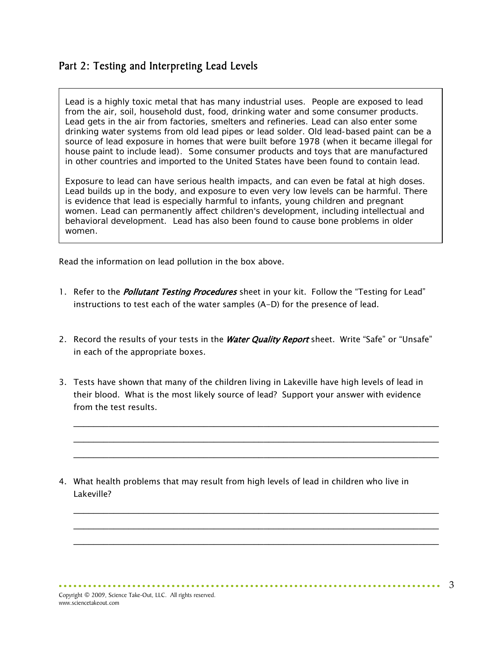#### Part 2: Testing and Interpreting Lead Levels

Lead is a highly toxic metal that has many industrial uses. People are exposed to lead from the air, soil, household dust, food, drinking water and some consumer products. Lead gets in the air from factories, smelters and refineries. Lead can also enter some drinking water systems from old lead pipes or lead solder. Old lead-based paint can be a source of lead exposure in homes that were built before 1978 (when it became illegal for house paint to include lead). Some consumer products and toys that are manufactured in other countries and imported to the United States have been found to contain lead.

Exposure to lead can have serious health impacts, and can even be fatal at high doses. Lead builds up in the body, and exposure to even very low levels can be harmful. There is evidence that lead is especially harmful to infants, young children and pregnant women. Lead can permanently affect children's development, including intellectual and behavioral development. Lead has also been found to cause bone problems in older women.

Read the information on lead pollution in the box above.

- 1. Refer to the *Pollutant Testing Procedures* sheet in your kit. Follow the "Testing for Lead" instructions to test each of the water samples (A-D) for the presence of lead.
- 2. Record the results of your tests in the Water Quality Report sheet. Write "Safe" or "Unsafe" in each of the appropriate boxes.
- 3. Tests have shown that many of the children living in Lakeville have high levels of lead in their blood. What is the most likely source of lead? Support your answer with evidence from the test results.

\_\_\_\_\_\_\_\_\_\_\_\_\_\_\_\_\_\_\_\_\_\_\_\_\_\_\_\_\_\_\_\_\_\_\_\_\_\_\_\_\_\_\_\_\_\_\_\_\_\_\_\_\_\_\_\_\_\_\_\_\_\_\_\_\_\_\_\_\_\_\_\_\_ \_\_\_\_\_\_\_\_\_\_\_\_\_\_\_\_\_\_\_\_\_\_\_\_\_\_\_\_\_\_\_\_\_\_\_\_\_\_\_\_\_\_\_\_\_\_\_\_\_\_\_\_\_\_\_\_\_\_\_\_\_\_\_\_\_\_\_\_\_\_\_\_\_ \_\_\_\_\_\_\_\_\_\_\_\_\_\_\_\_\_\_\_\_\_\_\_\_\_\_\_\_\_\_\_\_\_\_\_\_\_\_\_\_\_\_\_\_\_\_\_\_\_\_\_\_\_\_\_\_\_\_\_\_\_\_\_\_\_\_\_\_\_\_\_\_\_

\_\_\_\_\_\_\_\_\_\_\_\_\_\_\_\_\_\_\_\_\_\_\_\_\_\_\_\_\_\_\_\_\_\_\_\_\_\_\_\_\_\_\_\_\_\_\_\_\_\_\_\_\_\_\_\_\_\_\_\_\_\_\_\_\_\_\_\_\_\_\_\_\_ \_\_\_\_\_\_\_\_\_\_\_\_\_\_\_\_\_\_\_\_\_\_\_\_\_\_\_\_\_\_\_\_\_\_\_\_\_\_\_\_\_\_\_\_\_\_\_\_\_\_\_\_\_\_\_\_\_\_\_\_\_\_\_\_\_\_\_\_\_\_\_\_\_ \_\_\_\_\_\_\_\_\_\_\_\_\_\_\_\_\_\_\_\_\_\_\_\_\_\_\_\_\_\_\_\_\_\_\_\_\_\_\_\_\_\_\_\_\_\_\_\_\_\_\_\_\_\_\_\_\_\_\_\_\_\_\_\_\_\_\_\_\_\_\_\_\_

4. What health problems that may result from high levels of lead in children who live in Lakeville?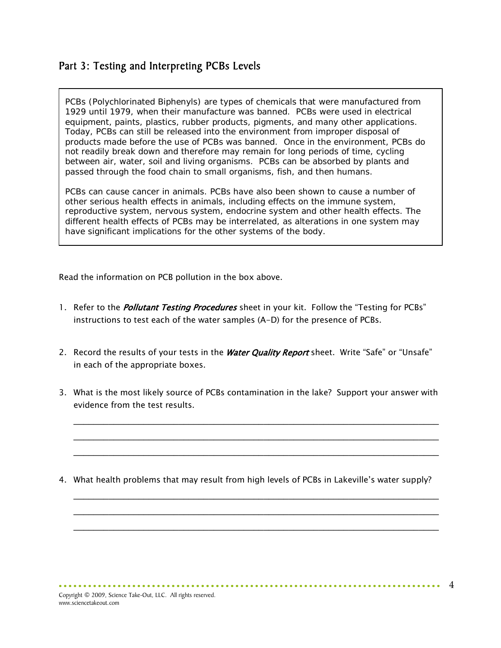#### Part 3: Testing and Interpreting PCBs Levels

PCBs (Polychlorinated Biphenyls) are types of chemicals that were manufactured from 1929 until 1979, when their manufacture was banned. PCBs were used in electrical equipment, paints, plastics, rubber products, pigments, and many other applications. Today, PCBs can still be released into the environment from improper disposal of products made before the use of PCBs was banned. Once in the environment, PCBs do not readily break down and therefore may remain for long periods of time, cycling between air, water, soil and living organisms. PCBs can be absorbed by plants and passed through the food chain to small organisms, fish, and then humans.

PCBs can cause cancer in animals. PCBs have also been shown to cause a number of other serious health effects in animals, including effects on the immune system, reproductive system, nervous system, endocrine system and other health effects. The different health effects of PCBs may be interrelated, as alterations in one system may have significant implications for the other systems of the body.

Read the information on PCB pollution in the box above.

- 1. Refer to the *Pollutant Testing Procedures* sheet in your kit. Follow the "Testing for PCBs" instructions to test each of the water samples (A-D) for the presence of PCBs.
- 2. Record the results of your tests in the Water Quality Report sheet. Write "Safe" or "Unsafe" in each of the appropriate boxes.
- 3. What is the most likely source of PCBs contamination in the lake? Support your answer with evidence from the test results.

\_\_\_\_\_\_\_\_\_\_\_\_\_\_\_\_\_\_\_\_\_\_\_\_\_\_\_\_\_\_\_\_\_\_\_\_\_\_\_\_\_\_\_\_\_\_\_\_\_\_\_\_\_\_\_\_\_\_\_\_\_\_\_\_\_\_\_\_\_\_\_\_\_ \_\_\_\_\_\_\_\_\_\_\_\_\_\_\_\_\_\_\_\_\_\_\_\_\_\_\_\_\_\_\_\_\_\_\_\_\_\_\_\_\_\_\_\_\_\_\_\_\_\_\_\_\_\_\_\_\_\_\_\_\_\_\_\_\_\_\_\_\_\_\_\_\_ \_\_\_\_\_\_\_\_\_\_\_\_\_\_\_\_\_\_\_\_\_\_\_\_\_\_\_\_\_\_\_\_\_\_\_\_\_\_\_\_\_\_\_\_\_\_\_\_\_\_\_\_\_\_\_\_\_\_\_\_\_\_\_\_\_\_\_\_\_\_\_\_\_

4. What health problems that may result from high levels of PCBs in Lakeville's water supply?

\_\_\_\_\_\_\_\_\_\_\_\_\_\_\_\_\_\_\_\_\_\_\_\_\_\_\_\_\_\_\_\_\_\_\_\_\_\_\_\_\_\_\_\_\_\_\_\_\_\_\_\_\_\_\_\_\_\_\_\_\_\_\_\_\_\_\_\_\_\_\_\_\_ \_\_\_\_\_\_\_\_\_\_\_\_\_\_\_\_\_\_\_\_\_\_\_\_\_\_\_\_\_\_\_\_\_\_\_\_\_\_\_\_\_\_\_\_\_\_\_\_\_\_\_\_\_\_\_\_\_\_\_\_\_\_\_\_\_\_\_\_\_\_\_\_\_ \_\_\_\_\_\_\_\_\_\_\_\_\_\_\_\_\_\_\_\_\_\_\_\_\_\_\_\_\_\_\_\_\_\_\_\_\_\_\_\_\_\_\_\_\_\_\_\_\_\_\_\_\_\_\_\_\_\_\_\_\_\_\_\_\_\_\_\_\_\_\_\_\_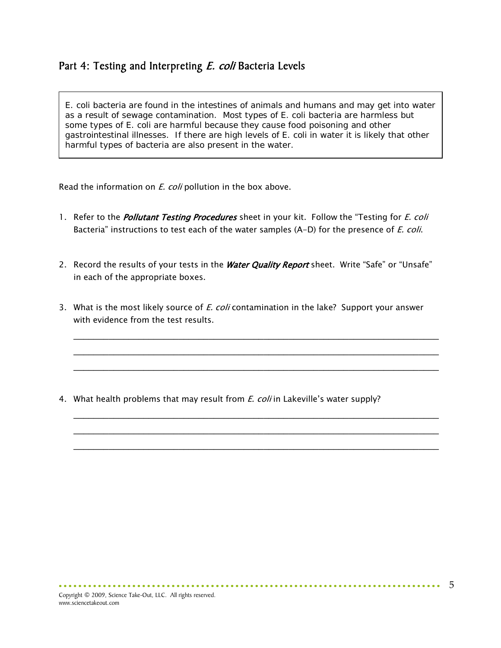#### Part 4: Testing and Interpreting E. coli Bacteria Levels

*E. coli* bacteria are found in the intestines of animals and humans and may get into water as a result of sewage contamination. Most types of *E. coli* bacteria are harmless but some types of *E. coli* are harmful because they cause food poisoning and other gastrointestinal illnesses. If there are high levels of *E. coli* in water it is likely that other harmful types of bacteria are also present in the water.

Read the information on *E. coli* pollution in the box above.

- 1. Refer to the *Pollutant Testing Procedures* sheet in your kit. Follow the "Testing for *E. coli* Bacteria" instructions to test each of the water samples (A-D) for the presence of *E. coli*.
- 2. Record the results of your tests in the Water Quality Report sheet. Write "Safe" or "Unsafe" in each of the appropriate boxes.
- 3. What is the most likely source of *E. coli* contamination in the lake? Support your answer with evidence from the test results.

\_\_\_\_\_\_\_\_\_\_\_\_\_\_\_\_\_\_\_\_\_\_\_\_\_\_\_\_\_\_\_\_\_\_\_\_\_\_\_\_\_\_\_\_\_\_\_\_\_\_\_\_\_\_\_\_\_\_\_\_\_\_\_\_\_\_\_\_\_\_\_\_\_ \_\_\_\_\_\_\_\_\_\_\_\_\_\_\_\_\_\_\_\_\_\_\_\_\_\_\_\_\_\_\_\_\_\_\_\_\_\_\_\_\_\_\_\_\_\_\_\_\_\_\_\_\_\_\_\_\_\_\_\_\_\_\_\_\_\_\_\_\_\_\_\_\_ \_\_\_\_\_\_\_\_\_\_\_\_\_\_\_\_\_\_\_\_\_\_\_\_\_\_\_\_\_\_\_\_\_\_\_\_\_\_\_\_\_\_\_\_\_\_\_\_\_\_\_\_\_\_\_\_\_\_\_\_\_\_\_\_\_\_\_\_\_\_\_\_\_

\_\_\_\_\_\_\_\_\_\_\_\_\_\_\_\_\_\_\_\_\_\_\_\_\_\_\_\_\_\_\_\_\_\_\_\_\_\_\_\_\_\_\_\_\_\_\_\_\_\_\_\_\_\_\_\_\_\_\_\_\_\_\_\_\_\_\_\_\_\_\_\_\_ \_\_\_\_\_\_\_\_\_\_\_\_\_\_\_\_\_\_\_\_\_\_\_\_\_\_\_\_\_\_\_\_\_\_\_\_\_\_\_\_\_\_\_\_\_\_\_\_\_\_\_\_\_\_\_\_\_\_\_\_\_\_\_\_\_\_\_\_\_\_\_\_\_ \_\_\_\_\_\_\_\_\_\_\_\_\_\_\_\_\_\_\_\_\_\_\_\_\_\_\_\_\_\_\_\_\_\_\_\_\_\_\_\_\_\_\_\_\_\_\_\_\_\_\_\_\_\_\_\_\_\_\_\_\_\_\_\_\_\_\_\_\_\_\_\_\_

4. What health problems that may result from *E. coli* in Lakeville's water supply?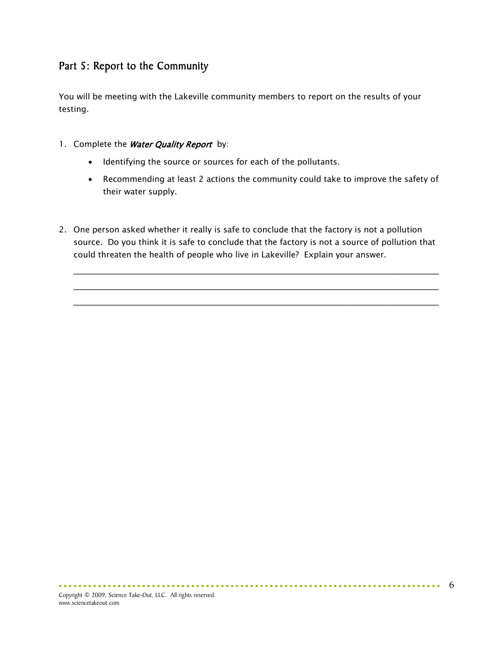### Part 5: Report to the Community

You will be meeting with the Lakeville community members to report on the results of your testing.

- 1. Complete the Water Quality Report by:
	- Identifying the source or sources for each of the pollutants.
	- Recommending at least 2 actions the community could take to improve the safety of their water supply.
- 2. One person asked whether it really is safe to conclude that the factory is not a pollution source. Do you think it is safe to conclude that the factory is not a source of pollution that could threaten the health of people who live in Lakeville? Explain your answer.

\_\_\_\_\_\_\_\_\_\_\_\_\_\_\_\_\_\_\_\_\_\_\_\_\_\_\_\_\_\_\_\_\_\_\_\_\_\_\_\_\_\_\_\_\_\_\_\_\_\_\_\_\_\_\_\_\_\_\_\_\_\_\_\_\_\_\_\_\_\_\_\_\_ \_\_\_\_\_\_\_\_\_\_\_\_\_\_\_\_\_\_\_\_\_\_\_\_\_\_\_\_\_\_\_\_\_\_\_\_\_\_\_\_\_\_\_\_\_\_\_\_\_\_\_\_\_\_\_\_\_\_\_\_\_\_\_\_\_\_\_\_\_\_\_\_\_ \_\_\_\_\_\_\_\_\_\_\_\_\_\_\_\_\_\_\_\_\_\_\_\_\_\_\_\_\_\_\_\_\_\_\_\_\_\_\_\_\_\_\_\_\_\_\_\_\_\_\_\_\_\_\_\_\_\_\_\_\_\_\_\_\_\_\_\_\_\_\_\_\_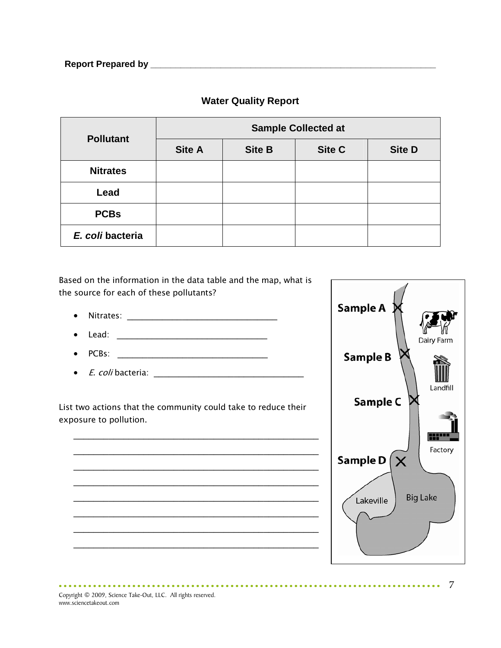| <b>Pollutant</b> | <b>Sample Collected at</b> |               |               |               |  |
|------------------|----------------------------|---------------|---------------|---------------|--|
|                  | <b>Site A</b>              | <b>Site B</b> | <b>Site C</b> | <b>Site D</b> |  |
| <b>Nitrates</b>  |                            |               |               |               |  |
| Lead             |                            |               |               |               |  |
| <b>PCBs</b>      |                            |               |               |               |  |
| E. coli bacteria |                            |               |               |               |  |

#### **Water Quality Report**

Based on the information in the data table and the map, what is the source for each of these pollutants?

- $\bullet$  Nitrates:  $\bullet$
- $\bullet$  Lead:
- PCBs: \_\_\_\_\_\_\_\_\_\_\_\_\_\_\_\_\_\_\_\_\_\_\_\_\_\_\_\_\_\_
- E. coli bacteria: \_\_\_\_\_\_\_\_\_\_\_\_\_\_\_\_\_\_\_\_\_\_\_\_\_\_\_\_\_\_

List two actions that the community could take to reduce their exposure to pollution.





Copyright © 2009, Science Take-Out, LLC. All rights reserved. www.sciencetakeout.com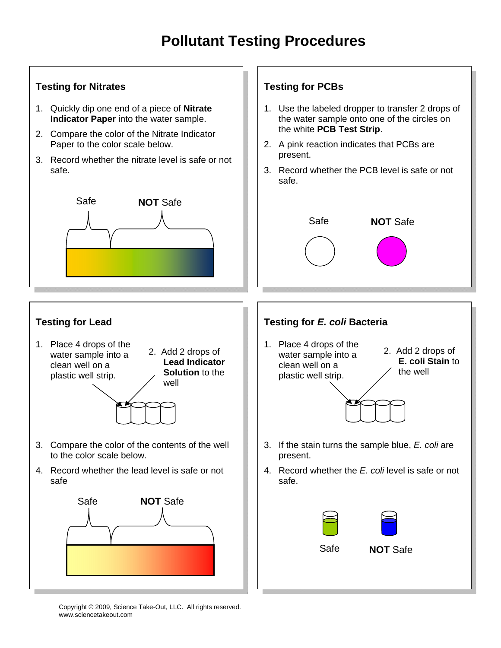### **Pollutant Testing Procedures**

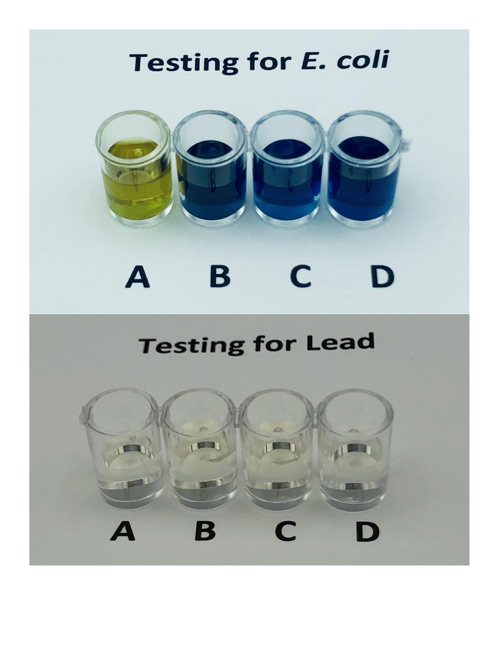# **Testing for E. coli**



#### B  $\boldsymbol{A}$ C. D

## **Testing for Lead**